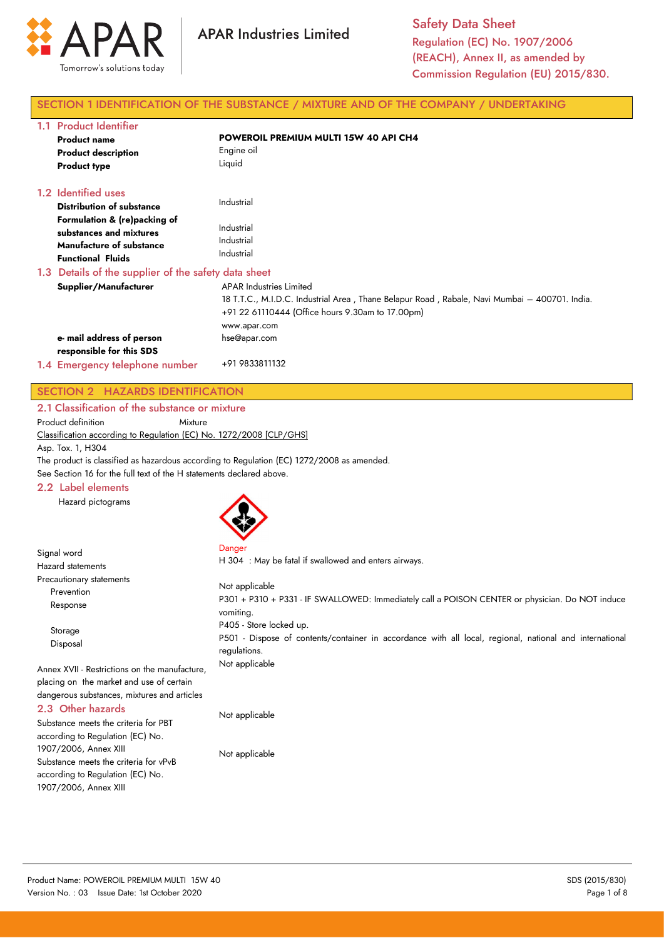

Safety Data Sheet Regulation (EC) No. 1907/2006 (REACH), Annex II, as amended by Commission Regulation (EU) 2015/830.

# SECTION 1 IDENTIFICATION OF THE SUBSTANCE / MIXTURE AND OF THE COMPANY / UNDERTAKING

| 1.1 Product Identifier                                                                                                 |                                                                                                                                                                                                     |
|------------------------------------------------------------------------------------------------------------------------|-----------------------------------------------------------------------------------------------------------------------------------------------------------------------------------------------------|
| <b>Product name</b>                                                                                                    | POWEROIL PREMIUM MULTI 15W 40 API CH4                                                                                                                                                               |
| <b>Product description</b>                                                                                             | Engine oil                                                                                                                                                                                          |
| <b>Product type</b>                                                                                                    | Liquid                                                                                                                                                                                              |
| 1.2 Identified uses                                                                                                    |                                                                                                                                                                                                     |
| <b>Distribution of substance</b>                                                                                       | Industrial                                                                                                                                                                                          |
| Formulation & (re)packing of<br>substances and mixtures<br><b>Manufacture of substance</b><br><b>Functional Fluids</b> | Industrial<br>Industrial<br>Industrial                                                                                                                                                              |
| 1.3 Details of the supplier of the safety data sheet                                                                   |                                                                                                                                                                                                     |
| Supplier/Manufacturer                                                                                                  | <b>APAR Industries Limited</b><br>18 T.T.C., M.I.D.C. Industrial Area, Thane Belapur Road, Rabale, Navi Mumbai – 400701. India.<br>+91 22 61110444 (Office hours 9.30am to 17.00pm)<br>www.apar.com |
| e- mail address of person                                                                                              | hse@apar.com                                                                                                                                                                                        |
| responsible for this SDS                                                                                               |                                                                                                                                                                                                     |
| 1.4 Emergency telephone number                                                                                         | +91 9833811132                                                                                                                                                                                      |

# SECTION 2 HAZARDS IDENTIFICATION

2.1 Classification of the substance or mixture

Product definition Mixture

Classification according to Regulation (EC) No. 1272/2008 [CLP/GHS]

Asp. Tox. 1, H304

Signal word

The product is classified as hazardous according to Regulation (EC) 1272/2008 as amended.

See Section 16 for the full text of the H statements declared above.

# 2.2 Label elements

Hazard pictograms



Danger H 304 : May be fatal if swallowed and enters airways.

| <b>Hazard statements</b>                                                                                                                 | H SU4, May be failed if swallowed and emers all ways.                                                                                              |  |  |
|------------------------------------------------------------------------------------------------------------------------------------------|----------------------------------------------------------------------------------------------------------------------------------------------------|--|--|
| Precautionary statements<br>Prevention<br>Response                                                                                       | Not applicable<br>P301 + P310 + P331 - IF SWALLOWED: Immediately call a POISON CENTER or physician. Do NOT induce<br>vomiting.                     |  |  |
| Storage<br>Disposal                                                                                                                      | P405 - Store locked up.<br>P501 - Dispose of contents/container in accordance with all local, regional, national and international<br>regulations. |  |  |
| Annex XVII - Restrictions on the manufacture,<br>placing on the market and use of certain<br>dangerous substances, mixtures and articles | Not applicable                                                                                                                                     |  |  |
| 2.3 Other hazards<br>Substance meets the criteria for PBT                                                                                | Not applicable                                                                                                                                     |  |  |

according to Regulation (EC) No. 1907/2006, Annex XIII Substance meets the criteria for vPvB according to Regulation (EC) No. 1907/2006, Annex XIII

Not applicable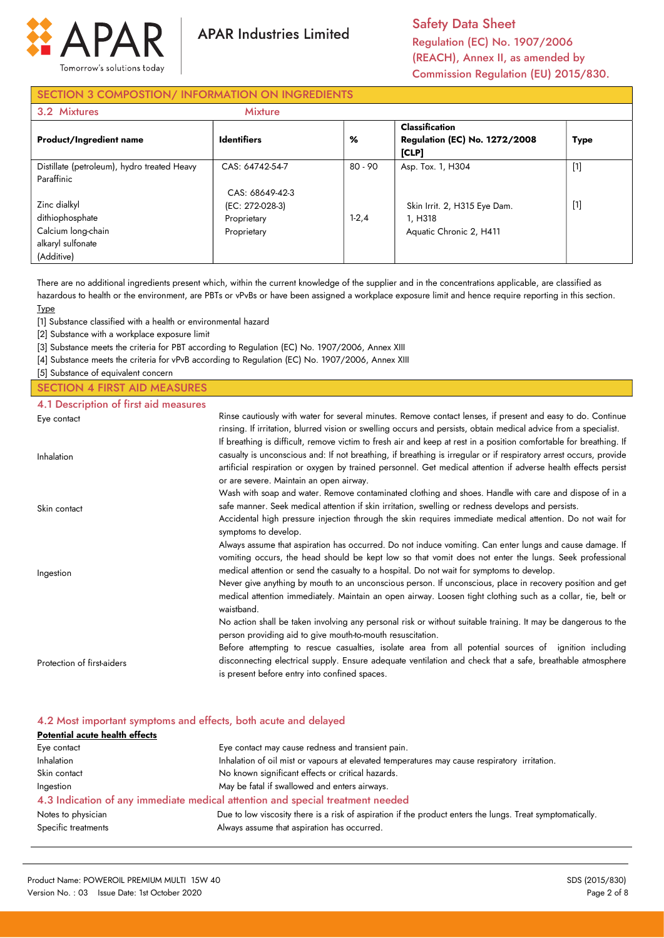

Safety Data Sheet Regulation (EC) No. 1907/2006 (REACH), Annex II, as amended by Commission Regulation (EU) 2015/830.

# SECTION 3 COMPOSTION/ INFORMATION ON INGREDIENTS

| 3.2 Mixtures                                                                             | <b>Mixture</b>                                                   |         |                                                                    |             |
|------------------------------------------------------------------------------------------|------------------------------------------------------------------|---------|--------------------------------------------------------------------|-------------|
| <b>Product/Ingredient name</b>                                                           | <b>Identifiers</b>                                               | %       | Classification<br><b>Regulation (EC) No. 1272/2008</b><br>[CLP]    | <b>Type</b> |
| Distillate (petroleum), hydro treated Heavy<br>Paraffinic                                | CAS: 64742-54-7                                                  | 80 - 90 | Asp. Tox. 1, H304                                                  | $[1]$       |
| Zinc dialkyl<br>dithiophosphate<br>Calcium long-chain<br>alkaryl sulfonate<br>(Additive) | CAS: 68649-42-3<br>(EC: 272-028-3)<br>Proprietary<br>Proprietary | $1-2,4$ | Skin Irrit. 2, H315 Eye Dam.<br>1. H318<br>Aquatic Chronic 2, H411 | $[1]$       |

There are no additional ingredients present which, within the current knowledge of the supplier and in the concentrations applicable, are classified as hazardous to health or the environment, are PBTs or vPvBs or have been assigned a workplace exposure limit and hence require reporting in this section. **Type** 

[1] Substance classified with a health or environmental hazard

[2] Substance with a workplace exposure limit

[3] Substance meets the criteria for PBT according to Regulation (EC) No. 1907/2006, Annex XIII

[4] Substance meets the criteria for vPvB according to Regulation (EC) No. 1907/2006, Annex XIII

[5] Substance of equivalent concern

## SECTION 4 FIRST AID MEASURES 4.1 Description of first aid measures

| 4. Description of this did measures |                                                                                                                                                                                                                                                                                                                                                       |
|-------------------------------------|-------------------------------------------------------------------------------------------------------------------------------------------------------------------------------------------------------------------------------------------------------------------------------------------------------------------------------------------------------|
| Eye contact                         | Rinse cautiously with water for several minutes. Remove contact lenses, if present and easy to do. Continue<br>rinsing. If irritation, blurred vision or swelling occurs and persists, obtain medical advice from a specialist.<br>If breathing is difficult, remove victim to fresh air and keep at rest in a position comfortable for breathing. If |
| Inhalation                          | casualty is unconscious and: If not breathing, if breathing is irregular or if respiratory arrest occurs, provide<br>artificial respiration or oxygen by trained personnel. Get medical attention if adverse health effects persist<br>or are severe. Maintain an open airway.                                                                        |
| Skin contact                        | Wash with soap and water. Remove contaminated clothing and shoes. Handle with care and dispose of in a<br>safe manner. Seek medical attention if skin irritation, swelling or redness develops and persists.                                                                                                                                          |
|                                     | Accidental high pressure injection through the skin requires immediate medical attention. Do not wait for<br>symptoms to develop.                                                                                                                                                                                                                     |
|                                     | Always assume that aspiration has occurred. Do not induce vomiting. Can enter lungs and cause damage. If<br>vomiting occurs, the head should be kept low so that vomit does not enter the lungs. Seek professional                                                                                                                                    |
| Ingestion                           | medical attention or send the casualty to a hospital. Do not wait for symptoms to develop.<br>Never give anything by mouth to an unconscious person. If unconscious, place in recovery position and get<br>medical attention immediately. Maintain an open airway. Loosen tight clothing such as a collar, tie, belt or<br>waistband.                 |
|                                     | No action shall be taken involving any personal risk or without suitable training. It may be dangerous to the<br>person providing aid to give mouth-to-mouth resuscitation.                                                                                                                                                                           |
|                                     | Before attempting to rescue casualties, isolate area from all potential sources of ignition including                                                                                                                                                                                                                                                 |
| Protection of first-aiders          | disconnecting electrical supply. Ensure adequate ventilation and check that a safe, breathable atmosphere<br>is present before entry into confined spaces.                                                                                                                                                                                            |

# 4.2 Most important symptoms and effects, both acute and delayed

| Potential acute health effects                                   |                                                                                                            |  |  |  |
|------------------------------------------------------------------|------------------------------------------------------------------------------------------------------------|--|--|--|
| Eye contact may cause redness and transient pain.<br>Eye contact |                                                                                                            |  |  |  |
| <b>Inhalation</b>                                                | Inhalation of oil mist or vapours at elevated temperatures may cause respiratory irritation.               |  |  |  |
| Skin contact                                                     | No known significant effects or critical hazards.                                                          |  |  |  |
| Ingestion                                                        | May be fatal if swallowed and enters airways.                                                              |  |  |  |
|                                                                  | 4.3 Indication of any immediate medical attention and special treatment needed                             |  |  |  |
| Notes to physician                                               | Due to low viscosity there is a risk of aspiration if the product enters the lungs. Treat symptomatically. |  |  |  |
| Specific treatments                                              | Always assume that aspiration has occurred.                                                                |  |  |  |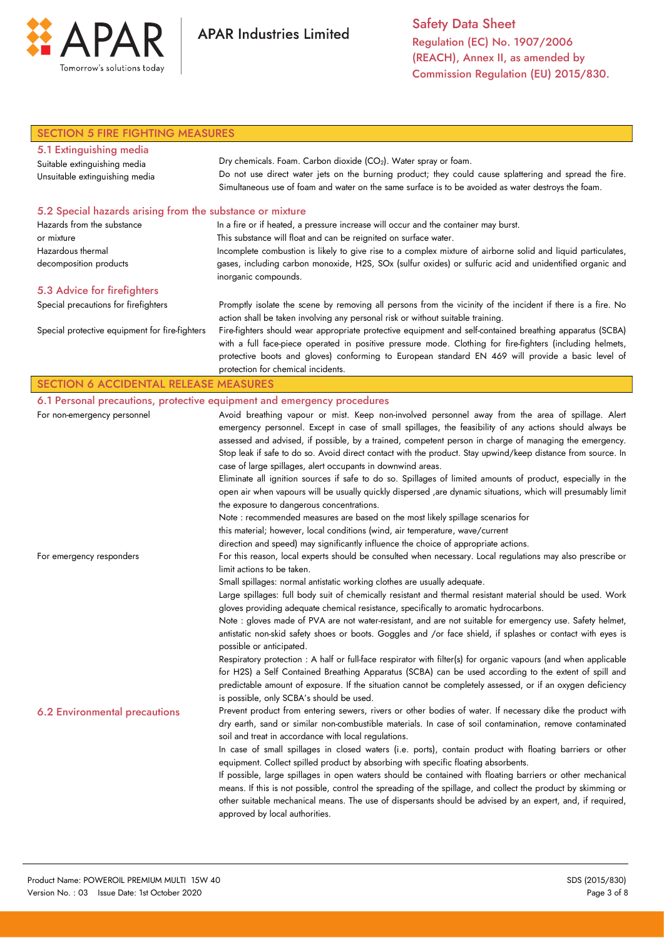

Safety Data Sheet Regulation (EC) No. 1907/2006 (REACH), Annex II, as amended by Commission Regulation (EU) 2015/830.

| <b>SECTION 5 FIRE FIGHTING MEASURES</b>                   |                                                                                                                                                                            |  |  |  |
|-----------------------------------------------------------|----------------------------------------------------------------------------------------------------------------------------------------------------------------------------|--|--|--|
| 5.1 Extinguishing media                                   |                                                                                                                                                                            |  |  |  |
| Suitable extinguishing media                              | Dry chemicals. Foam. Carbon dioxide (CO <sub>2</sub> ). Water spray or foam.                                                                                               |  |  |  |
| Unsuitable extinguishing media                            | Do not use direct water jets on the burning product; they could cause splattering and spread the fire.                                                                     |  |  |  |
|                                                           | Simultaneous use of foam and water on the same surface is to be avoided as water destroys the foam.                                                                        |  |  |  |
| 5.2 Special hazards arising from the substance or mixture |                                                                                                                                                                            |  |  |  |
| Hazards from the substance                                | In a fire or if heated, a pressure increase will occur and the container may burst.                                                                                        |  |  |  |
| or mixture                                                | This substance will float and can be reignited on surface water.                                                                                                           |  |  |  |
| Hazardous thermal                                         | Incomplete combustion is likely to give rise to a complex mixture of airborne solid and liquid particulates,                                                               |  |  |  |
| decomposition products                                    | gases, including carbon monoxide, H2S, SOx (sulfur oxides) or sulfuric acid and unidentified organic and<br>inorganic compounds.                                           |  |  |  |
| 5.3 Advice for firefighters                               |                                                                                                                                                                            |  |  |  |
| Special precautions for firefighters                      | Promptly isolate the scene by removing all persons from the vicinity of the incident if there is a fire. No                                                                |  |  |  |
|                                                           | action shall be taken involving any personal risk or without suitable training.                                                                                            |  |  |  |
| Special protective equipment for fire-fighters            | Fire-fighters should wear appropriate protective equipment and self-contained breathing apparatus (SCBA)                                                                   |  |  |  |
|                                                           | with a full face-piece operated in positive pressure mode. Clothing for fire-fighters (including helmets,                                                                  |  |  |  |
|                                                           | protective boots and gloves) conforming to European standard EN 469 will provide a basic level of                                                                          |  |  |  |
|                                                           | protection for chemical incidents.                                                                                                                                         |  |  |  |
| <b>SECTION 6 ACCIDENTAL RELEASE MEASURES</b>              |                                                                                                                                                                            |  |  |  |
|                                                           | 6.1 Personal precautions, protective equipment and emergency procedures                                                                                                    |  |  |  |
| For non-emergency personnel                               | Avoid breathing vapour or mist. Keep non-involved personnel away from the area of spillage. Alert                                                                          |  |  |  |
|                                                           | emergency personnel. Except in case of small spillages, the feasibility of any actions should always be                                                                    |  |  |  |
|                                                           | assessed and advised, if possible, by a trained, competent person in charge of managing the emergency.                                                                     |  |  |  |
|                                                           | Stop leak if safe to do so. Avoid direct contact with the product. Stay upwind/keep distance from source. In                                                               |  |  |  |
|                                                           | case of large spillages, alert occupants in downwind areas.<br>Eliminate all ignition sources if safe to do so. Spillages of limited amounts of product, especially in the |  |  |  |
|                                                           | open air when vapours will be usually quickly dispersed , are dynamic situations, which will presumably limit                                                              |  |  |  |
|                                                           | the exposure to dangerous concentrations.                                                                                                                                  |  |  |  |
|                                                           | Note : recommended measures are based on the most likely spillage scenarios for                                                                                            |  |  |  |
|                                                           | this material; however, local conditions (wind, air temperature, wave/current                                                                                              |  |  |  |
|                                                           | direction and speed) may significantly influence the choice of appropriate actions.                                                                                        |  |  |  |
| For emergency responders                                  | For this reason, local experts should be consulted when necessary. Local regulations may also prescribe or                                                                 |  |  |  |
|                                                           | limit actions to be taken.                                                                                                                                                 |  |  |  |
|                                                           | Small spillages: normal antistatic working clothes are usually adequate.                                                                                                   |  |  |  |
|                                                           | Large spillages: full body suit of chemically resistant and thermal resistant material should be used. Work                                                                |  |  |  |
|                                                           | gloves providing adequate chemical resistance, specifically to aromatic hydrocarbons.                                                                                      |  |  |  |
|                                                           | Note : gloves made of PVA are not water-resistant, and are not suitable for emergency use. Safety helmet,                                                                  |  |  |  |
|                                                           | antistatic non-skid safety shoes or boots. Goggles and /or face shield, if splashes or contact with eyes is                                                                |  |  |  |
|                                                           | possible or anticipated.                                                                                                                                                   |  |  |  |
|                                                           | Respiratory protection : A half or full-face respirator with filter(s) for organic vapours (and when applicable                                                            |  |  |  |
|                                                           | for H2S) a Self Contained Breathing Apparatus (SCBA) can be used according to the extent of spill and                                                                      |  |  |  |
|                                                           | predictable amount of exposure. If the situation cannot be completely assessed, or if an oxygen deficiency                                                                 |  |  |  |
|                                                           | is possible, only SCBA's should be used.                                                                                                                                   |  |  |  |
| <b>6.2 Environmental precautions</b>                      | Prevent product from entering sewers, rivers or other bodies of water. If necessary dike the product with                                                                  |  |  |  |
|                                                           | dry earth, sand or similar non-combustible materials. In case of soil contamination, remove contaminated<br>soil and treat in accordance with local regulations.           |  |  |  |
|                                                           | In case of small spillages in closed waters (i.e. ports), contain product with floating barriers or other                                                                  |  |  |  |
|                                                           | equipment. Collect spilled product by absorbing with specific floating absorbents.                                                                                         |  |  |  |
|                                                           | If possible, large spillages in open waters should be contained with floating barriers or other mechanical                                                                 |  |  |  |
|                                                           | means. If this is not possible, control the spreading of the spillage, and collect the product by skimming or                                                              |  |  |  |
|                                                           | other suitable mechanical means. The use of dispersants should be advised by an expert, and, if required,                                                                  |  |  |  |
|                                                           | approved by local authorities.                                                                                                                                             |  |  |  |
|                                                           |                                                                                                                                                                            |  |  |  |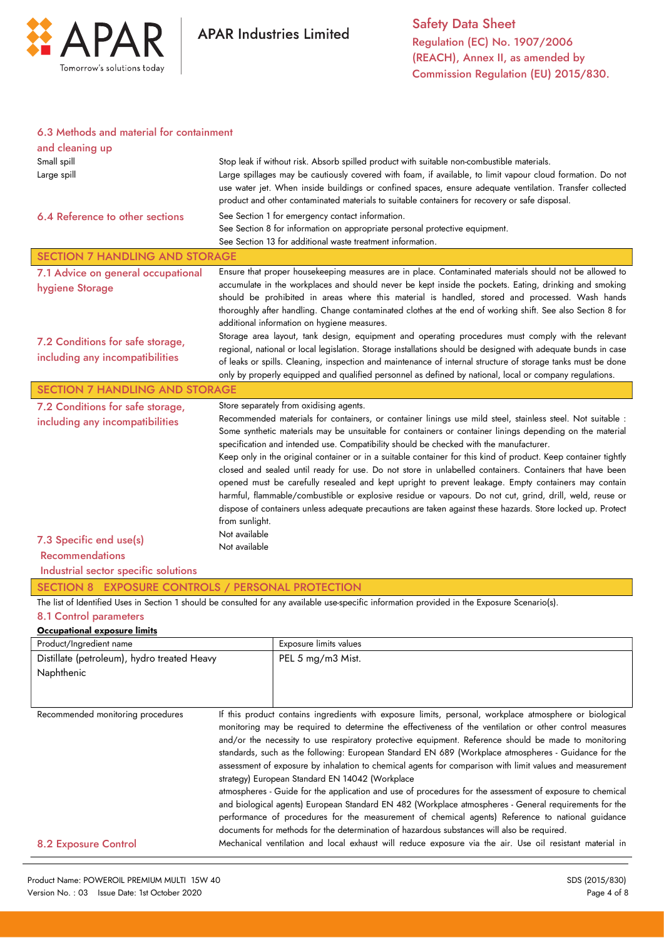

### 6.3 Methods and material for containment

| Stop leak if without risk. Absorb spilled product with suitable non-combustible materials.<br>Large spillages may be cautiously covered with foam, if available, to limit vapour cloud formation. Do not<br>use water jet. When inside buildings or confined spaces, ensure adequate ventilation. Transfer collected<br>product and other contaminated materials to suitable containers for recovery or safe disposal.<br>See Section 1 for emergency contact information.<br>See Section 8 for information on appropriate personal protective equipment.<br>See Section 13 for additional waste treatment information.                                                                                                                                                                                                                                                                                                                                                                                                                                                                                                                                                                                                              |
|--------------------------------------------------------------------------------------------------------------------------------------------------------------------------------------------------------------------------------------------------------------------------------------------------------------------------------------------------------------------------------------------------------------------------------------------------------------------------------------------------------------------------------------------------------------------------------------------------------------------------------------------------------------------------------------------------------------------------------------------------------------------------------------------------------------------------------------------------------------------------------------------------------------------------------------------------------------------------------------------------------------------------------------------------------------------------------------------------------------------------------------------------------------------------------------------------------------------------------------|
| <b>SECTION 7 HANDLING AND STORAGE</b>                                                                                                                                                                                                                                                                                                                                                                                                                                                                                                                                                                                                                                                                                                                                                                                                                                                                                                                                                                                                                                                                                                                                                                                                |
| Ensure that proper housekeeping measures are in place. Contaminated materials should not be allowed to<br>accumulate in the workplaces and should never be kept inside the pockets. Eating, drinking and smoking<br>should be prohibited in areas where this material is handled, stored and processed. Wash hands<br>thoroughly after handling. Change contaminated clothes at the end of working shift. See also Section 8 for<br>additional information on hygiene measures.<br>Storage area layout, tank design, equipment and operating procedures must comply with the relevant                                                                                                                                                                                                                                                                                                                                                                                                                                                                                                                                                                                                                                                |
| regional, national or local legislation. Storage installations should be designed with adequate bunds in case<br>of leaks or spills. Cleaning, inspection and maintenance of internal structure of storage tanks must be done<br>only by properly equipped and qualified personnel as defined by national, local or company regulations.                                                                                                                                                                                                                                                                                                                                                                                                                                                                                                                                                                                                                                                                                                                                                                                                                                                                                             |
| <b>SECTION 7 HANDLING AND STORAGE</b>                                                                                                                                                                                                                                                                                                                                                                                                                                                                                                                                                                                                                                                                                                                                                                                                                                                                                                                                                                                                                                                                                                                                                                                                |
| Store separately from oxidising agents.<br>Recommended materials for containers, or container linings use mild steel, stainless steel. Not suitable :<br>Some synthetic materials may be unsuitable for containers or container linings depending on the material<br>specification and intended use. Compatibility should be checked with the manufacturer.<br>Keep only in the original container or in a suitable container for this kind of product. Keep container tightly<br>closed and sealed until ready for use. Do not store in unlabelled containers. Containers that have been<br>opened must be carefully resealed and kept upright to prevent leakage. Empty containers may contain<br>harmful, flammable/combustible or explosive residue or vapours. Do not cut, grind, drill, weld, reuse or<br>dispose of containers unless adequate precautions are taken against these hazards. Store locked up. Protect<br>from sunlight.<br>Not available<br>Not available<br>SECTION 8 EXPOSURE CONTROLS / PERSONAL PROTECTION<br>The list of Identified Uses in Section 1 should be consulted for any available use-specific information provided in the Exposure Scenario(s).<br>Exposure limits values<br>PEL 5 mg/m3 Mist. |
|                                                                                                                                                                                                                                                                                                                                                                                                                                                                                                                                                                                                                                                                                                                                                                                                                                                                                                                                                                                                                                                                                                                                                                                                                                      |
| If this product contains ingredients with exposure limits, personal, workplace atmosphere or biological<br>monitoring may be required to determine the effectiveness of the ventilation or other control measures<br>and/or the necessity to use respiratory protective equipment. Reference should be made to monitoring<br>standards, such as the following: European Standard EN 689 (Workplace atmospheres - Guidance for the<br>assessment of exposure by inhalation to chemical agents for comparison with limit values and measurement<br>strategy) European Standard EN 14042 (Workplace<br>atmospheres - Guide for the application and use of procedures for the assessment of exposure to chemical<br>and biological agents) European Standard EN 482 (Workplace atmospheres - General requirements for the<br>performance of procedures for the measurement of chemical agents) Reference to national guidance<br>documents for methods for the determination of hazardous substances will also be required.<br>Mechanical ventilation and local exhaust will reduce exposure via the air. Use oil resistant material in                                                                                                  |
| Distillate (petroleum), hydro treated Heavy                                                                                                                                                                                                                                                                                                                                                                                                                                                                                                                                                                                                                                                                                                                                                                                                                                                                                                                                                                                                                                                                                                                                                                                          |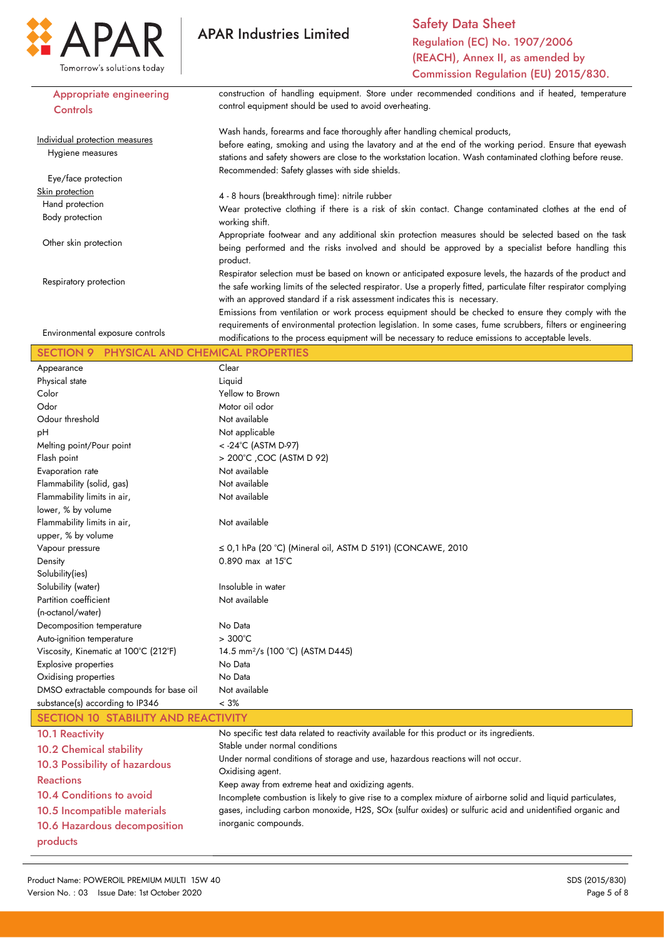

Safety Data Sheet Regulation (EC) No. 1907/2006 (REACH), Annex II, as amended by Commission Regulation (EU) 2015/830.

| <b>Appropriate engineering</b>                       | construction of handling equipment. Store under recommended conditions and if heated, temperature                  |  |  |  |
|------------------------------------------------------|--------------------------------------------------------------------------------------------------------------------|--|--|--|
| Controls                                             | control equipment should be used to avoid overheating.                                                             |  |  |  |
|                                                      |                                                                                                                    |  |  |  |
|                                                      | Wash hands, forearms and face thoroughly after handling chemical products,                                         |  |  |  |
| Individual protection measures                       | before eating, smoking and using the lavatory and at the end of the working period. Ensure that eyewash            |  |  |  |
| Hygiene measures                                     | stations and safety showers are close to the workstation location. Wash contaminated clothing before reuse.        |  |  |  |
|                                                      | Recommended: Safety glasses with side shields.                                                                     |  |  |  |
| Eye/face protection                                  |                                                                                                                    |  |  |  |
| Skin protection                                      | 4 - 8 hours (breakthrough time): nitrile rubber                                                                    |  |  |  |
| Hand protection                                      | Wear protective clothing if there is a risk of skin contact. Change contaminated clothes at the end of             |  |  |  |
| Body protection                                      | working shift.                                                                                                     |  |  |  |
|                                                      | Appropriate footwear and any additional skin protection measures should be selected based on the task              |  |  |  |
| Other skin protection                                |                                                                                                                    |  |  |  |
|                                                      | being performed and the risks involved and should be approved by a specialist before handling this                 |  |  |  |
|                                                      | product.                                                                                                           |  |  |  |
| Respiratory protection                               | Respirator selection must be based on known or anticipated exposure levels, the hazards of the product and         |  |  |  |
|                                                      | the safe working limits of the selected respirator. Use a properly fitted, particulate filter respirator complying |  |  |  |
|                                                      | with an approved standard if a risk assessment indicates this is necessary.                                        |  |  |  |
|                                                      | Emissions from ventilation or work process equipment should be checked to ensure they comply with the              |  |  |  |
|                                                      | requirements of environmental protection legislation. In some cases, fume scrubbers, filters or engineering        |  |  |  |
| Environmental exposure controls                      | modifications to the process equipment will be necessary to reduce emissions to acceptable levels.                 |  |  |  |
| PHYSICAL AND CHEMICAL PROPERTIES<br><b>SECTION 9</b> |                                                                                                                    |  |  |  |
| Appearance                                           | Clear                                                                                                              |  |  |  |
| Physical state                                       | Liquid                                                                                                             |  |  |  |
| Color                                                | Yellow to Brown                                                                                                    |  |  |  |
| Odor                                                 | Motor oil odor                                                                                                     |  |  |  |
|                                                      |                                                                                                                    |  |  |  |
| Odour threshold                                      | Not available                                                                                                      |  |  |  |
| рH                                                   | Not applicable                                                                                                     |  |  |  |
| Melting point/Pour point                             | < - 24°C (ASTM D-97)                                                                                               |  |  |  |
| Flash point                                          | > 200°C ,COC (ASTM D 92)                                                                                           |  |  |  |
| Evaporation rate                                     | Not available                                                                                                      |  |  |  |
| Flammability (solid, gas)                            | Not available                                                                                                      |  |  |  |
| Flammability limits in air,                          | Not available                                                                                                      |  |  |  |
| lower, % by volume                                   |                                                                                                                    |  |  |  |
| Flammability limits in air,                          | Not available                                                                                                      |  |  |  |
| upper, % by volume                                   |                                                                                                                    |  |  |  |
| Vapour pressure                                      | $\leq$ 0,1 hPa (20 °C) (Mineral oil, ASTM D 5191) (CONCAWE, 2010                                                   |  |  |  |
| Density                                              | $0.890$ max at $15^{\circ}$ C                                                                                      |  |  |  |
| Solubility(ies)                                      |                                                                                                                    |  |  |  |
| Solubility (water)                                   | Insoluble in water                                                                                                 |  |  |  |
| Partition coefficient                                | Not available                                                                                                      |  |  |  |
| (n-octanol/water)                                    |                                                                                                                    |  |  |  |
|                                                      |                                                                                                                    |  |  |  |
| Decomposition temperature                            | No Data                                                                                                            |  |  |  |
| Auto-ignition temperature                            | $>300^{\circ}$ C                                                                                                   |  |  |  |
| Viscosity, Kinematic at 100°C (212°F)                | 14.5 mm <sup>2</sup> /s (100 °C) (ASTM D445)                                                                       |  |  |  |
| <b>Explosive properties</b>                          | No Data                                                                                                            |  |  |  |
| Oxidising properties                                 | No Data                                                                                                            |  |  |  |
| DMSO extractable compounds for base oil              | Not available                                                                                                      |  |  |  |
| substance(s) according to IP346                      | $< 3\%$                                                                                                            |  |  |  |
| <b>SECTION 10 STABILITY AND REACTIVITY</b>           |                                                                                                                    |  |  |  |
| <b>10.1 Reactivity</b>                               | No specific test data related to reactivity available for this product or its ingredients.                         |  |  |  |
| <b>10.2 Chemical stability</b>                       | Stable under normal conditions                                                                                     |  |  |  |
|                                                      | Under normal conditions of storage and use, hazardous reactions will not occur.                                    |  |  |  |
| 10.3 Possibility of hazardous                        | Oxidising agent.                                                                                                   |  |  |  |
| <b>Reactions</b>                                     | Keep away from extreme heat and oxidizing agents.                                                                  |  |  |  |
| 10.4 Conditions to avoid                             | Incomplete combustion is likely to give rise to a complex mixture of airborne solid and liquid particulates,       |  |  |  |
| 10.5 Incompatible materials                          | gases, including carbon monoxide, H2S, SOx (sulfur oxides) or sulfuric acid and unidentified organic and           |  |  |  |
|                                                      | inorganic compounds.                                                                                               |  |  |  |
| 10.6 Hazardous decomposition                         |                                                                                                                    |  |  |  |
| products                                             |                                                                                                                    |  |  |  |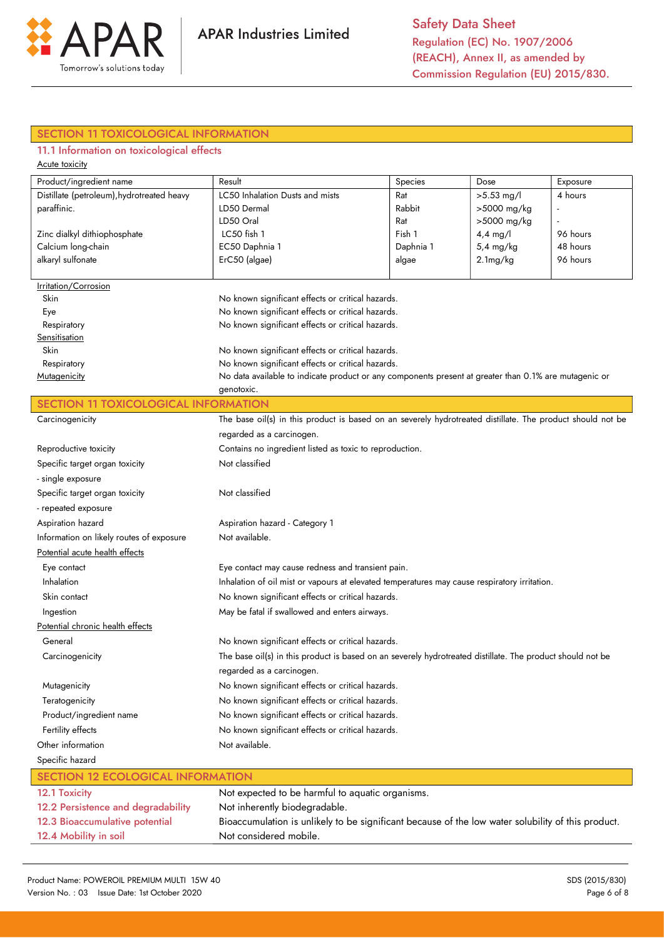

# SECTION 11 TOXICOLOGICAL INFORMATION

# 11.1 Information on toxicological effects

| <b>Acute toxicity</b>                                            |                                                                                                            |          |              |          |  |
|------------------------------------------------------------------|------------------------------------------------------------------------------------------------------------|----------|--------------|----------|--|
| Product/ingredient name                                          | Result                                                                                                     | Species  | Dose         | Exposure |  |
| Distillate (petroleum), hydrotreated heavy                       | LC50 Inhalation Dusts and mists                                                                            | Rat      | $>5.53$ mg/l | 4 hours  |  |
| paraffinic.                                                      | Rabbit<br>>5000 mg/kg<br>LD50 Dermal                                                                       |          |              |          |  |
|                                                                  | LD50 Oral<br>>5000 mg/kg<br>Rat<br>Fish 1<br>$4,4$ mg/l                                                    |          |              |          |  |
| Zinc dialkyl dithiophosphate                                     | LC50 fish 1                                                                                                | 96 hours |              |          |  |
| Calcium long-chain                                               | EC50 Daphnia 1<br>48 hours<br>Daphnia 1<br>5,4 mg/kg                                                       |          |              |          |  |
| alkaryl sulfonate                                                | ErC50 (algae)                                                                                              | algae    | 2.1mg/kg     | 96 hours |  |
| Irritation/Corrosion                                             |                                                                                                            |          |              |          |  |
| Skin                                                             | No known significant effects or critical hazards.                                                          |          |              |          |  |
| Eye                                                              | No known significant effects or critical hazards.                                                          |          |              |          |  |
| Respiratory                                                      | No known significant effects or critical hazards.                                                          |          |              |          |  |
| Sensitisation                                                    |                                                                                                            |          |              |          |  |
| <b>Skin</b>                                                      | No known significant effects or critical hazards.                                                          |          |              |          |  |
| Respiratory                                                      | No known significant effects or critical hazards.                                                          |          |              |          |  |
| Mutagenicity                                                     | No data available to indicate product or any components present at greater than 0.1% are mutagenic or      |          |              |          |  |
|                                                                  | genotoxic.                                                                                                 |          |              |          |  |
| <b>SECTION 11 TOXICOLOGICAL INFORMATION</b>                      |                                                                                                            |          |              |          |  |
| Carcinogenicity                                                  | The base oil(s) in this product is based on an severely hydrotreated distillate. The product should not be |          |              |          |  |
|                                                                  | regarded as a carcinogen.                                                                                  |          |              |          |  |
| Reproductive toxicity                                            | Contains no ingredient listed as toxic to reproduction.                                                    |          |              |          |  |
| Specific target organ toxicity                                   | Not classified                                                                                             |          |              |          |  |
| - single exposure                                                |                                                                                                            |          |              |          |  |
| Specific target organ toxicity                                   | Not classified                                                                                             |          |              |          |  |
| - repeated exposure                                              |                                                                                                            |          |              |          |  |
| Aspiration hazard                                                | Aspiration hazard - Category 1                                                                             |          |              |          |  |
| Information on likely routes of exposure                         | Not available.                                                                                             |          |              |          |  |
| Potential acute health effects                                   |                                                                                                            |          |              |          |  |
| Eye contact may cause redness and transient pain.<br>Eye contact |                                                                                                            |          |              |          |  |
| Inhalation                                                       | Inhalation of oil mist or vapours at elevated temperatures may cause respiratory irritation.               |          |              |          |  |
| Skin contact                                                     | No known significant effects or critical hazards.                                                          |          |              |          |  |
| May be fatal if swallowed and enters airways.<br>Ingestion       |                                                                                                            |          |              |          |  |
| Potential chronic health effects                                 |                                                                                                            |          |              |          |  |
| General                                                          | No known significant effects or critical hazards.                                                          |          |              |          |  |
| Carcinogenicity                                                  | The base oil(s) in this product is based on an severely hydrotreated distillate. The product should not be |          |              |          |  |
| regarded as a carcinogen.                                        |                                                                                                            |          |              |          |  |
| Mutagenicity                                                     | No known significant effects or critical hazards.                                                          |          |              |          |  |
| Teratogenicity                                                   | No known significant effects or critical hazards.                                                          |          |              |          |  |
| Product/ingredient name                                          | No known significant effects or critical hazards.                                                          |          |              |          |  |
| Fertility effects                                                | No known significant effects or critical hazards.                                                          |          |              |          |  |
| Other information                                                | Not available.                                                                                             |          |              |          |  |
| Specific hazard                                                  |                                                                                                            |          |              |          |  |
| <b>SECTION 12 ECOLOGICAL INFORMATION</b>                         |                                                                                                            |          |              |          |  |
| 12.1 Toxicity                                                    | Not expected to be harmful to aquatic organisms.                                                           |          |              |          |  |

| 12.2 Persistence and degradability | Not inherently biodegradable.                                                                      |
|------------------------------------|----------------------------------------------------------------------------------------------------|
| 12.3 Bioaccumulative potential     | Bioaccumulation is unlikely to be significant because of the low water solubility of this product. |
| 12.4 Mobility in soil              | Not considered mobile.                                                                             |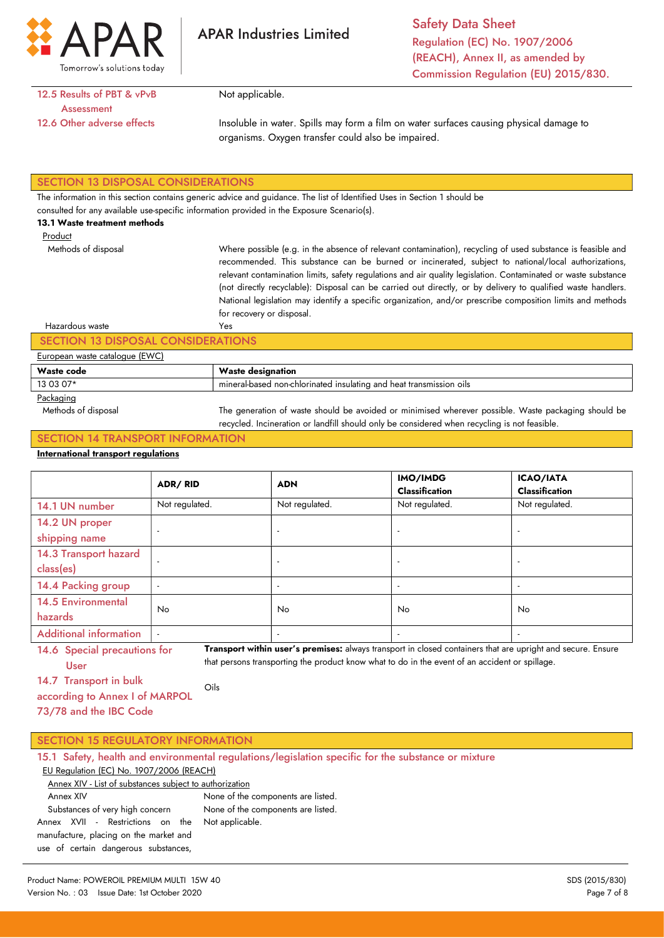

Safety Data Sheet Regulation (EC) No. 1907/2006 (REACH), Annex II, as amended by Commission Regulation (EU) 2015/830.

## 12.5 Results of PBT & vPvB **Assessment** 12.6 Other adverse effects

Not applicable.

Insoluble in water. Spills may form a film on water surfaces causing physical damage to organisms. Oxygen transfer could also be impaired.

### SECTION 13 DISPOSAL CONSIDERATIONS

The information in this section contains generic advice and guidance. The list of Identified Uses in Section 1 should be

consulted for any available use-specific information provided in the Exposure Scenario(s).

#### 13.1 Waste treatment methods

Methods of disposal

Product

Where possible (e.g. in the absence of relevant contamination), recycling of used substance is feasible and recommended. This substance can be burned or incinerated, subject to national/local authorizations, relevant contamination limits, safety regulations and air quality legislation. Contaminated or waste substance (not directly recyclable): Disposal can be carried out directly, or by delivery to qualified waste handlers. National legislation may identify a specific organization, and/or prescribe composition limits and methods for recovery or disposal. Yes

#### Hazardous waste

### SECTION 13 DISPOSAL CONSIDERATIONS

#### European waste catalogue (EWC)

| .          |                                                                     |  |
|------------|---------------------------------------------------------------------|--|
| Waste code | Waste designation                                                   |  |
| 13 03 07*  | mineral-based non-chlorinated insulating and heat transmission oils |  |
| $\sim$     |                                                                     |  |

#### Packaging

 Methods of disposal The generation of waste should be avoided or minimised wherever possible. Waste packaging should be recycled. Incineration or landfill should only be considered when recycling is not feasible.

## SECTION 14 TRANSPORT INFORMATION

### International transport regulations

|                                      | ADR/RID                  | <b>ADN</b>               | IMO/IMDG<br><b>Classification</b> | <b>ICAO/IATA</b><br><b>Classification</b> |
|--------------------------------------|--------------------------|--------------------------|-----------------------------------|-------------------------------------------|
| 14.1 UN number                       | Not regulated.           | Not regulated.           | Not regulated.                    | Not regulated.                            |
| 14.2 UN proper<br>shipping name      | $\overline{\phantom{a}}$ | $\overline{\phantom{a}}$ |                                   |                                           |
| 14.3 Transport hazard<br>class(es)   | $\overline{a}$           |                          |                                   | $\overline{\phantom{a}}$                  |
| 14.4 Packing group                   | $\overline{\phantom{a}}$ | $\overline{\phantom{a}}$ |                                   |                                           |
| <b>14.5 Environmental</b><br>hazards | No.                      | <b>No</b>                | No.                               | No.                                       |
| <b>Additional information</b>        | $\overline{a}$           | $\overline{\phantom{a}}$ |                                   | $\overline{\phantom{a}}$                  |

14.6 Special precautions for User Transport within user's premises: always transport in closed containers that are upright and secure. Ensure that persons transporting the product know what to do in the event of an accident or spillage.

14.7 Transport in bulk

according to Annex I of MARPOL 73/78 and the IBC Code Oils

|  |  |  | <b>SECTION 15 REGULATORY INFORMATION</b> |
|--|--|--|------------------------------------------|
|--|--|--|------------------------------------------|

| 15.1 Safety, health and environmental regulations/legislation specific for the substance or mixture |                                    |  |  |  |
|-----------------------------------------------------------------------------------------------------|------------------------------------|--|--|--|
| EU Regulation (EC) No. 1907/2006 (REACH)                                                            |                                    |  |  |  |
| Annex XIV - List of substances subject to authorization                                             |                                    |  |  |  |
| Annex XIV                                                                                           | None of the components are listed. |  |  |  |
| Substances of very high concern                                                                     | None of the components are listed. |  |  |  |
| Not applicable.<br>Annex XVII - Restrictions on the                                                 |                                    |  |  |  |
| manufacture, placing on the market and                                                              |                                    |  |  |  |
| use of certain dangerous substances,                                                                |                                    |  |  |  |